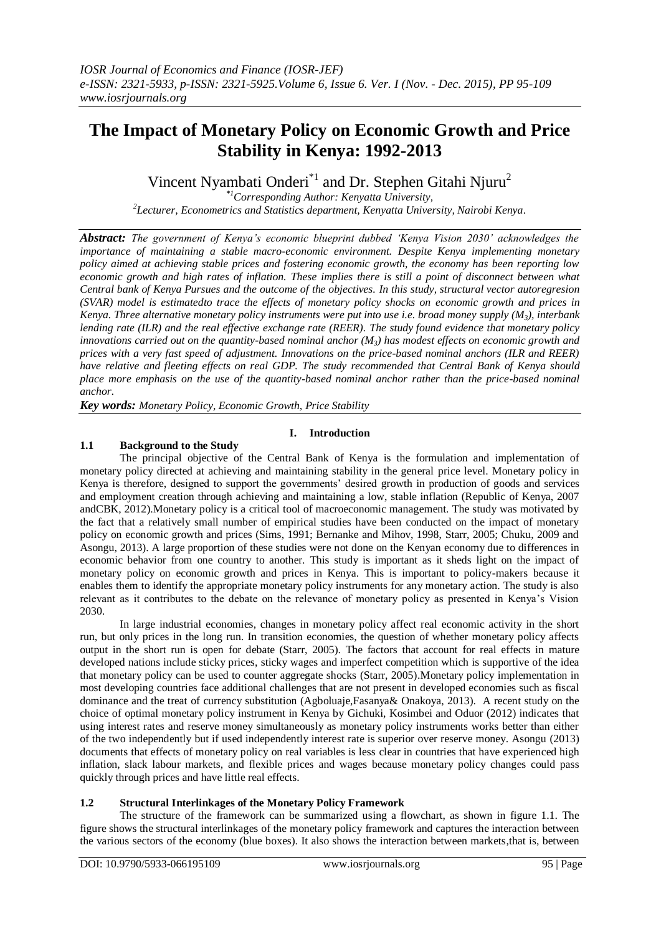# **The Impact of Monetary Policy on Economic Growth and Price Stability in Kenya: 1992-2013**

Vincent Nyambati Onderi<sup>\*1</sup> and Dr. Stephen Gitahi Njuru<sup>2</sup>

**\****<sup>1</sup>Corresponding Author: Kenyatta University,*

*2 Lecturer, Econometrics and Statistics department, Kenyatta University, Nairobi Kenya.*

*Abstract: The government of Kenya's economic blueprint dubbed 'Kenya Vision 2030' acknowledges the importance of maintaining a stable macro-economic environment. Despite Kenya implementing monetary policy aimed at achieving stable prices and fostering economic growth, the economy has been reporting low economic growth and high rates of inflation. These implies there is still a point of disconnect between what Central bank of Kenya Pursues and the outcome of the objectives. In this study, structural vector autoregresion (SVAR) model is estimatedto trace the effects of monetary policy shocks on economic growth and prices in Kenya. Three alternative monetary policy instruments were put into use i.e. broad money supply (M3), interbank lending rate (ILR) and the real effective exchange rate (REER). The study found evidence that monetary policy innovations carried out on the quantity-based nominal anchor (M3) has modest effects on economic growth and prices with a very fast speed of adjustment. Innovations on the price-based nominal anchors (ILR and REER) have relative and fleeting effects on real GDP. The study recommended that Central Bank of Kenya should place more emphasis on the use of the quantity-based nominal anchor rather than the price-based nominal anchor.*

*Key words: Monetary Policy, Economic Growth, Price Stability*

## **I. Introduction**

# **1.1 Background to the Study**

The principal objective of the Central Bank of Kenya is the formulation and implementation of monetary policy directed at achieving and maintaining stability in the general price level. Monetary policy in Kenya is therefore, designed to support the governments" desired growth in production of goods and services and employment creation through achieving and maintaining a low, stable inflation (Republic of Kenya, 2007 andCBK, 2012).Monetary policy is a critical tool of macroeconomic management. The study was motivated by the fact that a relatively small number of empirical studies have been conducted on the impact of monetary policy on economic growth and prices (Sims, 1991; Bernanke and Mihov, 1998, Starr, 2005; Chuku, 2009 and Asongu, 2013). A large proportion of these studies were not done on the Kenyan economy due to differences in economic behavior from one country to another. This study is important as it sheds light on the impact of monetary policy on economic growth and prices in Kenya. This is important to policy-makers because it enables them to identify the appropriate monetary policy instruments for any monetary action. The study is also relevant as it contributes to the debate on the relevance of monetary policy as presented in Kenya"s Vision 2030.

In large industrial economies, changes in monetary policy affect real economic activity in the short run, but only prices in the long run. In transition economies, the question of whether monetary policy affects output in the short run is open for debate (Starr, 2005). The factors that account for real effects in mature developed nations include sticky prices, sticky wages and imperfect competition which is supportive of the idea that monetary policy can be used to counter aggregate shocks (Starr, 2005).Monetary policy implementation in most developing countries face additional challenges that are not present in developed economies such as fiscal dominance and the treat of currency substitution (Agboluaje,Fasanya& Onakoya, 2013). A recent study on the choice of optimal monetary policy instrument in Kenya by Gichuki, Kosimbei and Oduor (2012) indicates that using interest rates and reserve money simultaneously as monetary policy instruments works better than either of the two independently but if used independently interest rate is superior over reserve money. Asongu (2013) documents that effects of monetary policy on real variables is less clear in countries that have experienced high inflation, slack labour markets, and flexible prices and wages because monetary policy changes could pass quickly through prices and have little real effects.

# **1.2 Structural Interlinkages of the Monetary Policy Framework**

The structure of the framework can be summarized using a flowchart, as shown in figure 1.1. The figure shows the structural interlinkages of the monetary policy framework and captures the interaction between the various sectors of the economy (blue boxes). It also shows the interaction between markets,that is, between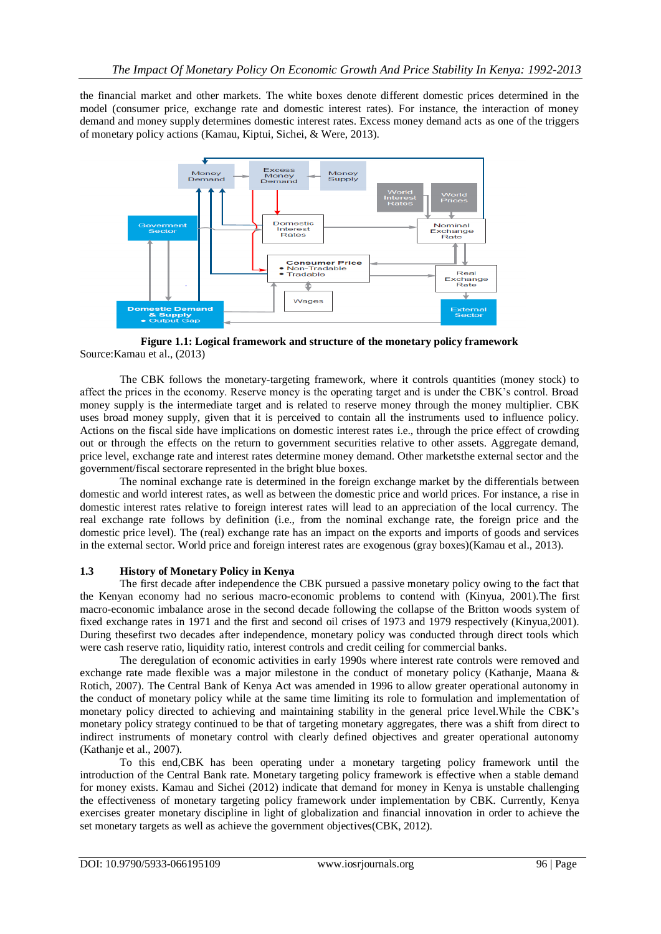the financial market and other markets. The white boxes denote different domestic prices determined in the model (consumer price, exchange rate and domestic interest rates). For instance, the interaction of money demand and money supply determines domestic interest rates. Excess money demand acts as one of the triggers of monetary policy actions (Kamau, Kiptui, Sichei, & Were, 2013).



**Figure 1.1: Logical framework and structure of the monetary policy framework** Source:Kamau et al., (2013)

The CBK follows the monetary-targeting framework, where it controls quantities (money stock) to affect the prices in the economy. Reserve money is the operating target and is under the CBK"s control. Broad money supply is the intermediate target and is related to reserve money through the money multiplier. CBK uses broad money supply, given that it is perceived to contain all the instruments used to influence policy. Actions on the fiscal side have implications on domestic interest rates i.e., through the price effect of crowding out or through the effects on the return to government securities relative to other assets. Aggregate demand, price level, exchange rate and interest rates determine money demand. Other marketsthe external sector and the government/fiscal sectorare represented in the bright blue boxes.

The nominal exchange rate is determined in the foreign exchange market by the differentials between domestic and world interest rates, as well as between the domestic price and world prices. For instance, a rise in domestic interest rates relative to foreign interest rates will lead to an appreciation of the local currency. The real exchange rate follows by definition (i.e., from the nominal exchange rate, the foreign price and the domestic price level). The (real) exchange rate has an impact on the exports and imports of goods and services in the external sector. World price and foreign interest rates are exogenous (gray boxes)(Kamau et al., 2013).

#### **1.3 History of Monetary Policy in Kenya**

The first decade after independence the CBK pursued a passive monetary policy owing to the fact that the Kenyan economy had no serious macro-economic problems to contend with (Kinyua, 2001).The first macro-economic imbalance arose in the second decade following the collapse of the Britton woods system of fixed exchange rates in 1971 and the first and second oil crises of 1973 and 1979 respectively (Kinyua,2001). During thesefirst two decades after independence, monetary policy was conducted through direct tools which were cash reserve ratio, liquidity ratio, interest controls and credit ceiling for commercial banks.

The deregulation of economic activities in early 1990s where interest rate controls were removed and exchange rate made flexible was a major milestone in the conduct of monetary policy (Kathanje, Maana & Rotich, 2007). The Central Bank of Kenya Act was amended in 1996 to allow greater operational autonomy in the conduct of monetary policy while at the same time limiting its role to formulation and implementation of monetary policy directed to achieving and maintaining stability in the general price level.While the CBK"s monetary policy strategy continued to be that of targeting monetary aggregates, there was a shift from direct to indirect instruments of monetary control with clearly defined objectives and greater operational autonomy (Kathanje et al., 2007).

To this end,CBK has been operating under a monetary targeting policy framework until the introduction of the Central Bank rate. Monetary targeting policy framework is effective when a stable demand for money exists. Kamau and Sichei (2012) indicate that demand for money in Kenya is unstable challenging the effectiveness of monetary targeting policy framework under implementation by CBK. Currently, Kenya exercises greater monetary discipline in light of globalization and financial innovation in order to achieve the set monetary targets as well as achieve the government objectives(CBK, 2012).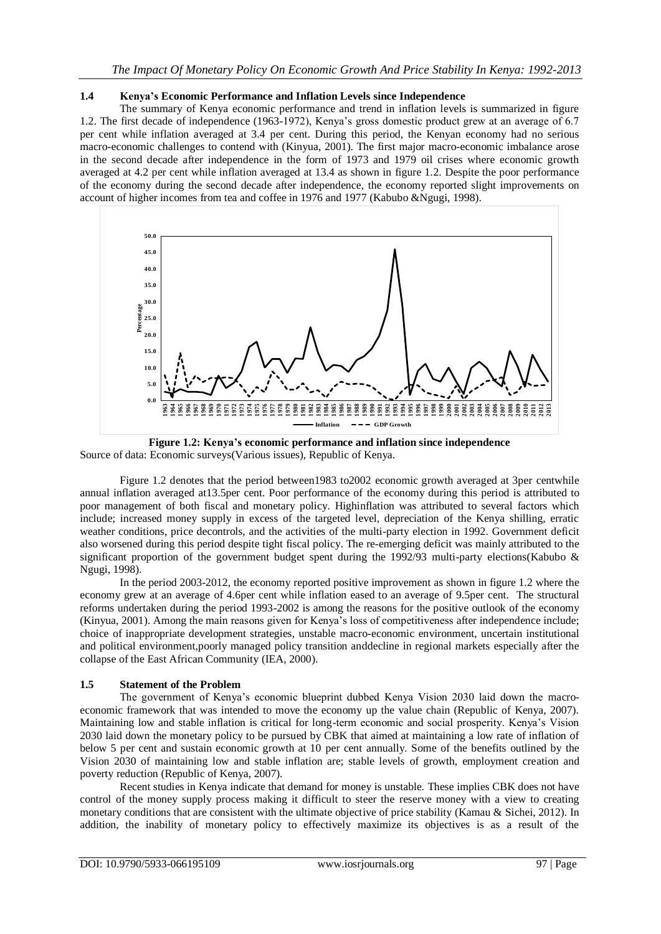## **1.4 Kenya's Economic Performance and Inflation Levels since Independence**

The summary of Kenya economic performance and trend in inflation levels is summarized in figure 1.2. The first decade of independence (1963-1972), Kenya"s gross domestic product grew at an average of 6.7 per cent while inflation averaged at 3.4 per cent. During this period, the Kenyan economy had no serious macro-economic challenges to contend with (Kinyua, 2001). The first major macro-economic imbalance arose in the second decade after independence in the form of 1973 and 1979 oil crises where economic growth averaged at 4.2 per cent while inflation averaged at 13.4 as shown in figure 1.2. Despite the poor performance of the economy during the second decade after independence, the economy reported slight improvements on account of higher incomes from tea and coffee in 1976 and 1977 (Kabubo &Ngugi, 1998).



**Figure 1.2: Kenya's economic performance and inflation since independence** Source of data: Economic surveys(Various issues), Republic of Kenya.

Figure 1.2 denotes that the period between1983 to2002 economic growth averaged at 3per centwhile annual inflation averaged at13.5per cent. Poor performance of the economy during this period is attributed to poor management of both fiscal and monetary policy. Highinflation was attributed to several factors which include; increased money supply in excess of the targeted level, depreciation of the Kenya shilling, erratic weather conditions, price decontrols, and the activities of the multi-party election in 1992. Government deficit also worsened during this period despite tight fiscal policy. The re-emerging deficit was mainly attributed to the significant proportion of the government budget spent during the 1992/93 multi-party elections(Kabubo & Ngugi, 1998).

In the period 2003-2012, the economy reported positive improvement as shown in figure 1.2 where the economy grew at an average of 4.6per cent while inflation eased to an average of 9.5per cent. The structural reforms undertaken during the period 1993-2002 is among the reasons for the positive outlook of the economy (Kinyua, 2001). Among the main reasons given for Kenya"s loss of competitiveness after independence include; choice of inappropriate development strategies, unstable macro-economic environment, uncertain institutional and political environment,poorly managed policy transition anddecline in regional markets especially after the collapse of the East African Community (IEA, 2000).

## **1.5 Statement of the Problem**

The government of Kenya"s economic blueprint dubbed Kenya Vision 2030 laid down the macroeconomic framework that was intended to move the economy up the value chain (Republic of Kenya, 2007). Maintaining low and stable inflation is critical for long-term economic and social prosperity. Kenya"s Vision 2030 laid down the monetary policy to be pursued by CBK that aimed at maintaining a low rate of inflation of below 5 per cent and sustain economic growth at 10 per cent annually. Some of the benefits outlined by the Vision 2030 of maintaining low and stable inflation are; stable levels of growth, employment creation and poverty reduction (Republic of Kenya, 2007).

Recent studies in Kenya indicate that demand for money is unstable. These implies CBK does not have control of the money supply process making it difficult to steer the reserve money with a view to creating monetary conditions that are consistent with the ultimate objective of price stability (Kamau & Sichei, 2012). In addition, the inability of monetary policy to effectively maximize its objectives is as a result of the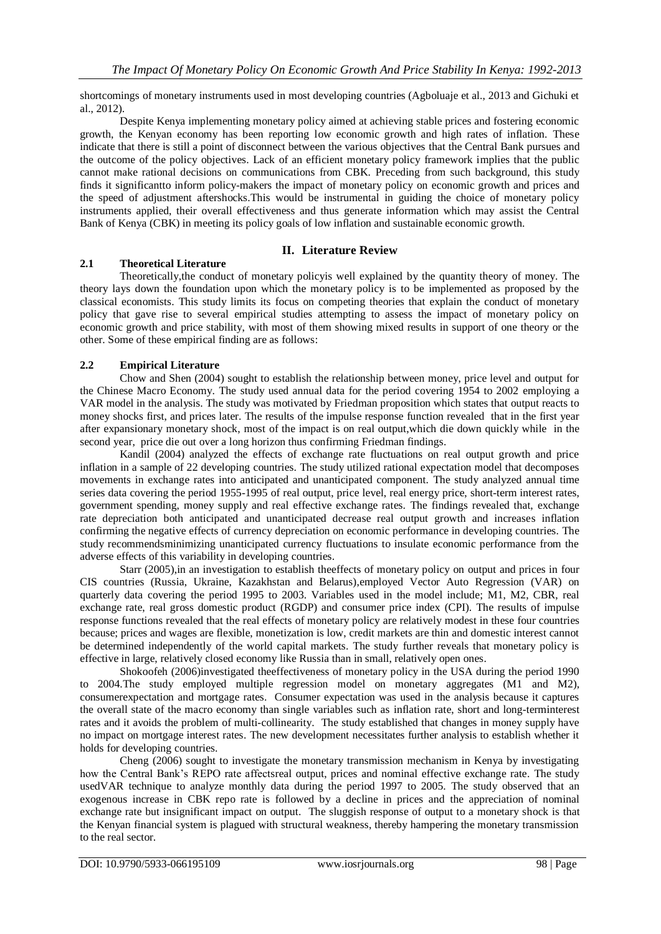shortcomings of monetary instruments used in most developing countries (Agboluaje et al., 2013 and Gichuki et al., 2012).

Despite Kenya implementing monetary policy aimed at achieving stable prices and fostering economic growth, the Kenyan economy has been reporting low economic growth and high rates of inflation. These indicate that there is still a point of disconnect between the various objectives that the Central Bank pursues and the outcome of the policy objectives. Lack of an efficient monetary policy framework implies that the public cannot make rational decisions on communications from CBK. Preceding from such background, this study finds it significantto inform policy-makers the impact of monetary policy on economic growth and prices and the speed of adjustment aftershocks.This would be instrumental in guiding the choice of monetary policy instruments applied, their overall effectiveness and thus generate information which may assist the Central Bank of Kenya (CBK) in meeting its policy goals of low inflation and sustainable economic growth.

## **II. Literature Review**

## **2.1 Theoretical Literature**

Theoretically,the conduct of monetary policyis well explained by the quantity theory of money. The theory lays down the foundation upon which the monetary policy is to be implemented as proposed by the classical economists. This study limits its focus on competing theories that explain the conduct of monetary policy that gave rise to several empirical studies attempting to assess the impact of monetary policy on economic growth and price stability, with most of them showing mixed results in support of one theory or the other. Some of these empirical finding are as follows:

## **2.2 Empirical Literature**

Chow and Shen (2004) sought to establish the relationship between money, price level and output for the Chinese Macro Economy. The study used annual data for the period covering 1954 to 2002 employing a VAR model in the analysis. The study was motivated by Friedman proposition which states that output reacts to money shocks first, and prices later. The results of the impulse response function revealed that in the first year after expansionary monetary shock, most of the impact is on real output,which die down quickly while in the second year, price die out over a long horizon thus confirming Friedman findings.

Kandil (2004) analyzed the effects of exchange rate fluctuations on real output growth and price inflation in a sample of 22 developing countries. The study utilized rational expectation model that decomposes movements in exchange rates into anticipated and unanticipated component. The study analyzed annual time series data covering the period 1955-1995 of real output, price level, real energy price, short-term interest rates, government spending, money supply and real effective exchange rates. The findings revealed that, exchange rate depreciation both anticipated and unanticipated decrease real output growth and increases inflation confirming the negative effects of currency depreciation on economic performance in developing countries. The study recommendsminimizing unanticipated currency fluctuations to insulate economic performance from the adverse effects of this variability in developing countries.

Starr (2005),in an investigation to establish theeffects of monetary policy on output and prices in four CIS countries (Russia, Ukraine, Kazakhstan and Belarus),employed Vector Auto Regression (VAR) on quarterly data covering the period 1995 to 2003. Variables used in the model include; M1, M2, CBR, real exchange rate, real gross domestic product (RGDP) and consumer price index (CPI). The results of impulse response functions revealed that the real effects of monetary policy are relatively modest in these four countries because; prices and wages are flexible, monetization is low, credit markets are thin and domestic interest cannot be determined independently of the world capital markets. The study further reveals that monetary policy is effective in large, relatively closed economy like Russia than in small, relatively open ones.

Shokoofeh (2006)investigated theeffectiveness of monetary policy in the USA during the period 1990 to 2004.The study employed multiple regression model on monetary aggregates (M1 and M2), consumerexpectation and mortgage rates. Consumer expectation was used in the analysis because it captures the overall state of the macro economy than single variables such as inflation rate, short and long-terminterest rates and it avoids the problem of multi-collinearity. The study established that changes in money supply have no impact on mortgage interest rates. The new development necessitates further analysis to establish whether it holds for developing countries.

Cheng (2006) sought to investigate the monetary transmission mechanism in Kenya by investigating how the Central Bank"s REPO rate affectsreal output, prices and nominal effective exchange rate. The study usedVAR technique to analyze monthly data during the period 1997 to 2005. The study observed that an exogenous increase in CBK repo rate is followed by a decline in prices and the appreciation of nominal exchange rate but insignificant impact on output. The sluggish response of output to a monetary shock is that the Kenyan financial system is plagued with structural weakness, thereby hampering the monetary transmission to the real sector.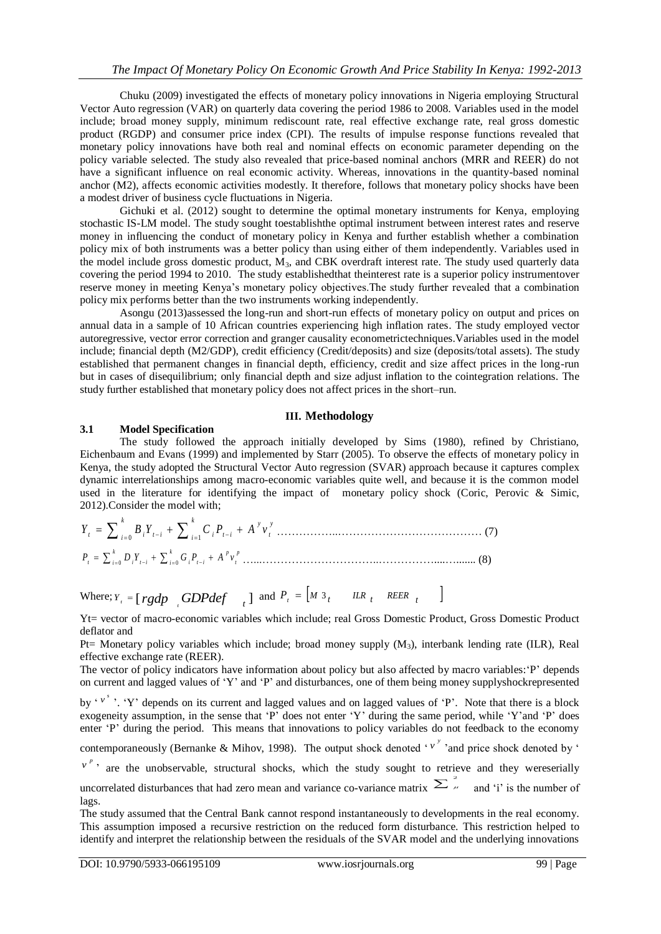Chuku (2009) investigated the effects of monetary policy innovations in Nigeria employing Structural Vector Auto regression (VAR) on quarterly data covering the period 1986 to 2008. Variables used in the model include; broad money supply, minimum rediscount rate, real effective exchange rate, real gross domestic product (RGDP) and consumer price index (CPI). The results of impulse response functions revealed that monetary policy innovations have both real and nominal effects on economic parameter depending on the policy variable selected. The study also revealed that price-based nominal anchors (MRR and REER) do not have a significant influence on real economic activity. Whereas, innovations in the quantity-based nominal anchor (M2), affects economic activities modestly. It therefore, follows that monetary policy shocks have been a modest driver of business cycle fluctuations in Nigeria.

Gichuki et al. (2012) sought to determine the optimal monetary instruments for Kenya, employing stochastic IS-LM model. The study sought toestablishthe optimal instrument between interest rates and reserve money in influencing the conduct of monetary policy in Kenya and further establish whether a combination policy mix of both instruments was a better policy than using either of them independently. Variables used in the model include gross domestic product,  $M_3$ , and CBK overdraft interest rate. The study used quarterly data covering the period 1994 to 2010. The study establishedthat theinterest rate is a superior policy instrumentover reserve money in meeting Kenya"s monetary policy objectives.The study further revealed that a combination policy mix performs better than the two instruments working independently.

Asongu (2013)assessed the long-run and short-run effects of monetary policy on output and prices on annual data in a sample of 10 African countries experiencing high inflation rates. The study employed vector autoregressive, vector error correction and granger causality econometrictechniques.Variables used in the model include; financial depth (M2/GDP), credit efficiency (Credit/deposits) and size (deposits/total assets). The study established that permanent changes in financial depth, efficiency, credit and size affect prices in the long-run but in cases of disequilibrium; only financial depth and size adjust inflation to the cointegration relations. The study further established that monetary policy does not affect prices in the short–run.

## **III. Methodology**

## **3.1 Model Specification**

The study followed the approach initially developed by Sims (1980), refined by Christiano, Eichenbaum and Evans (1999) and implemented by Starr (2005). To observe the effects of monetary policy in Kenya, the study adopted the Structural Vector Auto regression (SVAR) approach because it captures complex dynamic interrelationships among macro-economic variables quite well, and because it is the common model used in the literature for identifying the impact of monetary policy shock (Coric, Perovic & Simic, 2012).Consider the model with;

*y t y k i i t i k i t i t i <sup>Y</sup> <sup>B</sup> <sup>Y</sup> <sup>C</sup> <sup>P</sup> <sup>A</sup> <sup>v</sup>* <sup>0</sup> <sup>1</sup> ……………..………………………………… (7) *p t k p i i t i k t i i t i P D Y G P A v* <sup>0</sup> <sup>0</sup> …...…………………………..……………....…....... (8)

Where;  $Y_i = [rgdp \quad GDPdef \quad t]$  and  $P_t = [M 3t \quad ILR \cdot REER \cdot t \quad ]$ 

Yt= vector of macro-economic variables which include; real Gross Domestic Product, Gross Domestic Product deflator and

Pt= Monetary policy variables which include; broad money supply  $(M_3)$ , interbank lending rate (ILR), Real effective exchange rate (REER).

The vector of policy indicators have information about policy but also affected by macro variables: "P" depends on current and lagged values of "Y" and "P" and disturbances, one of them being money supplyshockrepresented

by '<sup>v'</sup>'. 'Y' depends on its current and lagged values and on lagged values of 'P'. Note that there is a block exogeneity assumption, in the sense that "P" does not enter "Y" during the same period, while "Y"and "P" does enter 'P' during the period. This means that innovations to policy variables do not feedback to the economy

contemporaneously (Bernanke & Mihov, 1998). The output shock denoted '<sup>*v*</sup>' and price shock denoted by '

*v*<sup>*p*</sup>, are the unobservable, structural shocks, which the study sought to retrieve and they wereserially

uncorrelated disturbances that had zero mean and variance co-variance matrix  $\sum_{\mu}^2$  and 'i' is the number of lags.

The study assumed that the Central Bank cannot respond instantaneously to developments in the real economy. This assumption imposed a recursive restriction on the reduced form disturbance. This restriction helped to identify and interpret the relationship between the residuals of the SVAR model and the underlying innovations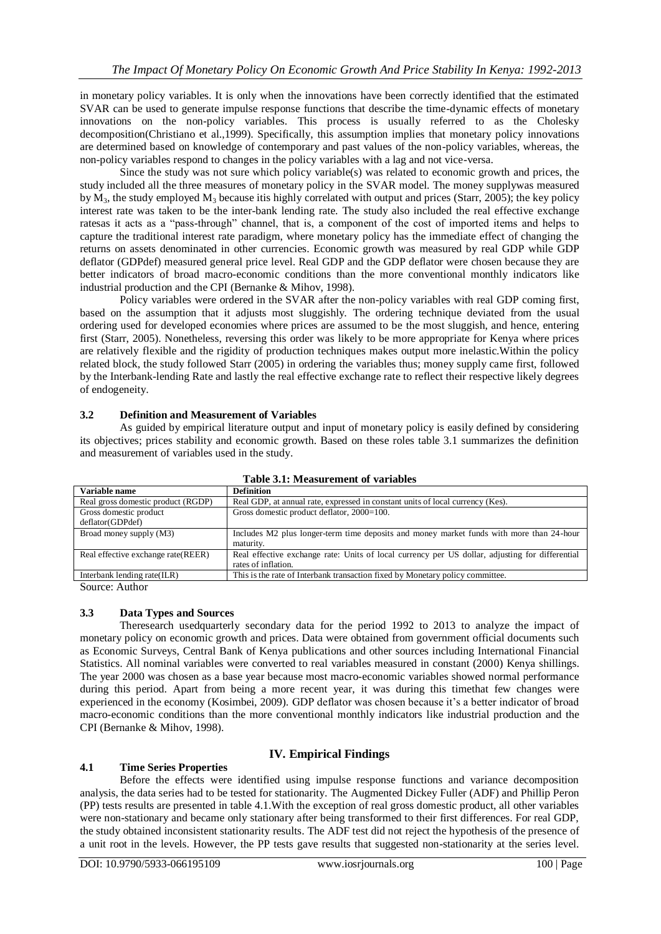in monetary policy variables. It is only when the innovations have been correctly identified that the estimated SVAR can be used to generate impulse response functions that describe the time-dynamic effects of monetary innovations on the non-policy variables. This process is usually referred to as the Cholesky decomposition(Christiano et al.,1999). Specifically, this assumption implies that monetary policy innovations are determined based on knowledge of contemporary and past values of the non-policy variables, whereas, the non-policy variables respond to changes in the policy variables with a lag and not vice-versa.

Since the study was not sure which policy variable(s) was related to economic growth and prices, the study included all the three measures of monetary policy in the SVAR model. The money supplywas measured by  $M_3$ , the study employed  $M_3$  because itis highly correlated with output and prices (Starr, 2005); the key policy interest rate was taken to be the inter-bank lending rate. The study also included the real effective exchange ratesas it acts as a "pass-through" channel, that is, a component of the cost of imported items and helps to capture the traditional interest rate paradigm, where monetary policy has the immediate effect of changing the returns on assets denominated in other currencies. Economic growth was measured by real GDP while GDP deflator (GDPdef) measured general price level. Real GDP and the GDP deflator were chosen because they are better indicators of broad macro-economic conditions than the more conventional monthly indicators like industrial production and the CPI (Bernanke & Mihov, 1998).

Policy variables were ordered in the SVAR after the non-policy variables with real GDP coming first, based on the assumption that it adjusts most sluggishly. The ordering technique deviated from the usual ordering used for developed economies where prices are assumed to be the most sluggish, and hence, entering first (Starr, 2005). Nonetheless, reversing this order was likely to be more appropriate for Kenya where prices are relatively flexible and the rigidity of production techniques makes output more inelastic.Within the policy related block, the study followed Starr (2005) in ordering the variables thus; money supply came first, followed by the Interbank-lending Rate and lastly the real effective exchange rate to reflect their respective likely degrees of endogeneity.

## **3.2 Definition and Measurement of Variables**

As guided by empirical literature output and input of monetary policy is easily defined by considering its objectives; prices stability and economic growth. Based on these roles table 3.1 summarizes the definition and measurement of variables used in the study.

| Variable name                       | <b>Definition</b>                                                                               |
|-------------------------------------|-------------------------------------------------------------------------------------------------|
| Real gross domestic product (RGDP)  | Real GDP, at annual rate, expressed in constant units of local currency (Kes).                  |
| Gross domestic product              | Gross domestic product deflator, 2000=100.                                                      |
| deflator(GDPdef)                    |                                                                                                 |
| Broad money supply (M3)             | Includes M2 plus longer-term time deposits and money market funds with more than 24-hour        |
|                                     | maturity.                                                                                       |
| Real effective exchange rate (REER) | Real effective exchange rate: Units of local currency per US dollar, adjusting for differential |
|                                     | rates of inflation.                                                                             |
| Interbank lending rate(ILR)         | This is the rate of Interbank transaction fixed by Monetary policy committee.                   |

**Table 3.1: Measurement of variables**

Source: Author

#### **3.3 Data Types and Sources**

Theresearch usedquarterly secondary data for the period 1992 to 2013 to analyze the impact of monetary policy on economic growth and prices. Data were obtained from government official documents such as Economic Surveys, Central Bank of Kenya publications and other sources including International Financial Statistics. All nominal variables were converted to real variables measured in constant (2000) Kenya shillings. The year 2000 was chosen as a base year because most macro-economic variables showed normal performance during this period. Apart from being a more recent year, it was during this timethat few changes were experienced in the economy (Kosimbei, 2009). GDP deflator was chosen because it"s a better indicator of broad macro-economic conditions than the more conventional monthly indicators like industrial production and the CPI (Bernanke & Mihov, 1998).

## **IV. Empirical Findings**

**4.1 Time Series Properties** Before the effects were identified using impulse response functions and variance decomposition analysis, the data series had to be tested for stationarity. The Augmented Dickey Fuller (ADF) and Phillip Peron (PP) tests results are presented in table 4.1.With the exception of real gross domestic product, all other variables were non-stationary and became only stationary after being transformed to their first differences. For real GDP, the study obtained inconsistent stationarity results. The ADF test did not reject the hypothesis of the presence of a unit root in the levels. However, the PP tests gave results that suggested non-stationarity at the series level.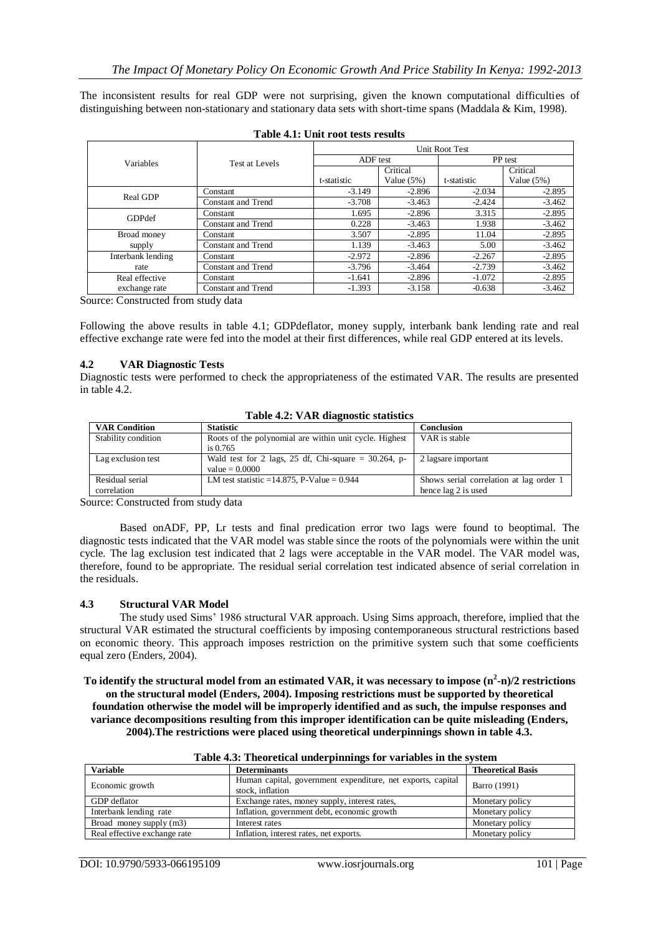The inconsistent results for real GDP were not surprising, given the known computational difficulties of distinguishing between non-stationary and stationary data sets with short-time spans (Maddala & Kim, 1998).

| Variables         |                           | Unit Root Test |               |             |               |  |
|-------------------|---------------------------|----------------|---------------|-------------|---------------|--|
|                   | Test at Levels            | ADF test       |               | PP test     |               |  |
|                   |                           |                | Critical      |             | Critical      |  |
|                   |                           | t-statistic    | Value $(5\%)$ | t-statistic | Value $(5\%)$ |  |
| Real GDP          | Constant                  | $-3.149$       | $-2.896$      | $-2.034$    | $-2.895$      |  |
|                   | <b>Constant and Trend</b> | $-3.708$       | $-3.463$      | $-2.424$    | $-3.462$      |  |
| GDPdef            | Constant                  | 1.695          | $-2.896$      | 3.315       | $-2.895$      |  |
|                   | Constant and Trend        | 0.228          | $-3.463$      | 1.938       | $-3.462$      |  |
| Broad money       | Constant                  | 3.507          | $-2.895$      | 11.04       | $-2.895$      |  |
| supply            | Constant and Trend        | 1.139          | $-3.463$      | 5.00        | $-3.462$      |  |
| Interbank lending | Constant                  | $-2.972$       | $-2.896$      | $-2.267$    | $-2.895$      |  |
| rate              | Constant and Trend        | $-3.796$       | $-3.464$      | $-2.739$    | $-3.462$      |  |
| Real effective    | Constant                  | $-1.641$       | $-2.896$      | $-1.072$    | $-2.895$      |  |
| exchange rate     | Constant and Trend        | $-1.393$       | $-3.158$      | $-0.638$    | $-3.462$      |  |

#### **Table 4.1: Unit root tests results**

Source: Constructed from study data

Following the above results in table 4.1; GDPdeflator, money supply, interbank bank lending rate and real effective exchange rate were fed into the model at their first differences, while real GDP entered at its levels.

#### **4.2 VAR Diagnostic Tests**

Diagnostic tests were performed to check the appropriateness of the estimated VAR. The results are presented in table 4.2.

| Table 7.2. VIII una mostre statistics |                                                         |                                         |  |  |  |
|---------------------------------------|---------------------------------------------------------|-----------------------------------------|--|--|--|
| <b>VAR Condition</b>                  | <b>Statistic</b>                                        | <b>Conclusion</b>                       |  |  |  |
| Stability condition                   | Roots of the polynomial are within unit cycle. Highest  | VAR is stable                           |  |  |  |
|                                       | is $0.765$                                              |                                         |  |  |  |
| Lag exclusion test                    | Wald test for 2 lags, 25 df, Chi-square $= 30.264$ , p- | 2 lagsare important                     |  |  |  |
|                                       | $value = 0.0000$                                        |                                         |  |  |  |
| Residual serial                       | LM test statistic = $14.875$ , P-Value = 0.944          | Shows serial correlation at lag order 1 |  |  |  |
| correlation                           |                                                         | hence lag 2 is used                     |  |  |  |

**Table 4.2: VAR diagnostic statistics**

Source: Constructed from study data

Based onADF, PP, Lr tests and final predication error two lags were found to beoptimal. The diagnostic tests indicated that the VAR model was stable since the roots of the polynomials were within the unit cycle. The lag exclusion test indicated that 2 lags were acceptable in the VAR model. The VAR model was, therefore, found to be appropriate. The residual serial correlation test indicated absence of serial correlation in the residuals.

#### **4.3 Structural VAR Model**

The study used Sims" 1986 structural VAR approach. Using Sims approach, therefore, implied that the structural VAR estimated the structural coefficients by imposing contemporaneous structural restrictions based on economic theory. This approach imposes restriction on the primitive system such that some coefficients equal zero (Enders, 2004).

**To identify the structural model from an estimated VAR, it was necessary to impose (n<sup>2</sup> -n)/2 restrictions on the structural model (Enders, 2004). Imposing restrictions must be supported by theoretical foundation otherwise the model will be improperly identified and as such, the impulse responses and variance decompositions resulting from this improper identification can be quite misleading (Enders, 2004).The restrictions were placed using theoretical underpinnings shown in table 4.3.**

| $-$ 00.000 $-$ 00.000 $-$ 00.000 00.000 00.000 00.000 00.000 00.000 00.000 00.000 00.000 00.000 00.000 00.000 00.000 00.000 00.000 00.000 00.000 00.000 00.000 00.000 00.000 00.000 00.000 00.000 00.000 00.000 00.000 00.000 |                                                                                 |                          |  |  |  |
|-------------------------------------------------------------------------------------------------------------------------------------------------------------------------------------------------------------------------------|---------------------------------------------------------------------------------|--------------------------|--|--|--|
| <b>Variable</b>                                                                                                                                                                                                               | <b>Determinants</b>                                                             | <b>Theoretical Basis</b> |  |  |  |
| Economic growth                                                                                                                                                                                                               | Human capital, government expenditure, net exports, capital<br>stock, inflation | Barro (1991)             |  |  |  |
| GDP deflator                                                                                                                                                                                                                  | Exchange rates, money supply, interest rates,                                   | Monetary policy          |  |  |  |
| Interbank lending rate                                                                                                                                                                                                        | Inflation, government debt, economic growth                                     | Monetary policy          |  |  |  |
| Broad money supply (m3)                                                                                                                                                                                                       | Interest rates                                                                  | Monetary policy          |  |  |  |
| Real effective exchange rate                                                                                                                                                                                                  | Inflation, interest rates, net exports.                                         | Monetary policy          |  |  |  |

**Table 4.3: Theoretical underpinnings for variables in the system**

DOI: 10.9790/5933-066195109 www.iosrjournals.org 101 | Page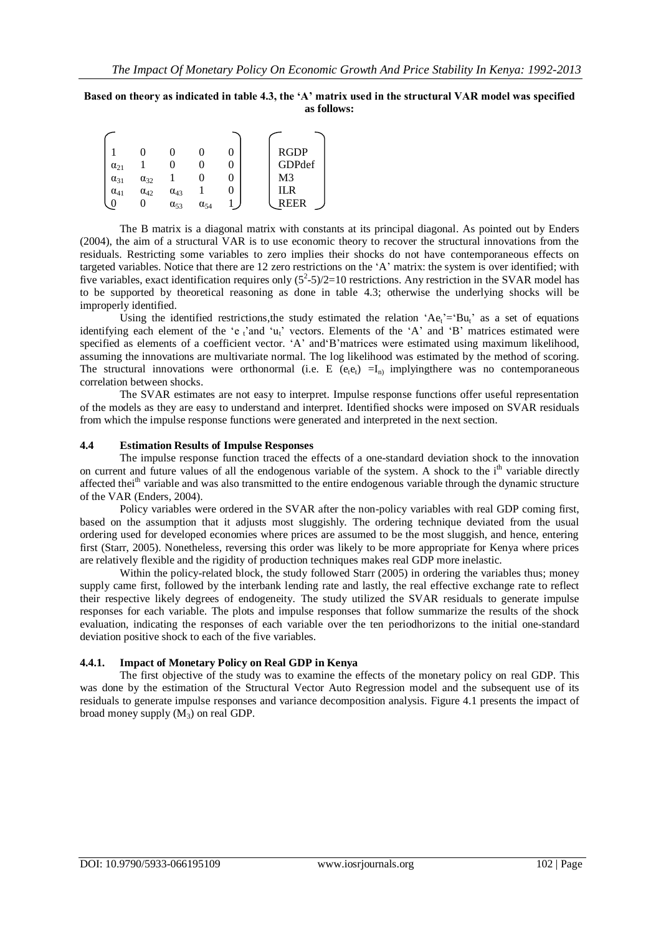#### **Based on theory as indicated in table 4.3, the 'A' matrix used in the structural VAR model was specified as follows:**

|               |               |               |               | <b>RGDP</b> |
|---------------|---------------|---------------|---------------|-------------|
| $\alpha_{21}$ |               |               |               | GDPdef      |
| $\alpha_{31}$ | $\alpha_{32}$ |               |               | M3          |
| $\alpha_{41}$ | $\alpha_{42}$ | $\alpha_{43}$ |               | <b>ILR</b>  |
|               |               | $\alpha_{53}$ | $\alpha_{54}$ | FFR         |

The B matrix is a diagonal matrix with constants at its principal diagonal. As pointed out by Enders (2004), the aim of a structural VAR is to use economic theory to recover the structural innovations from the residuals. Restricting some variables to zero implies their shocks do not have contemporaneous effects on targeted variables. Notice that there are 12 zero restrictions on the "A" matrix: the system is over identified; with five variables, exact identification requires only  $(5^2-5)/2=10$  restrictions. Any restriction in the SVAR model has to be supported by theoretical reasoning as done in table 4.3; otherwise the underlying shocks will be improperly identified.

Using the identified restrictions, the study estimated the relation ' $Ae_t$ '=' $Bu_t$ ' as a set of equations identifying each element of the 'e<sub>t</sub>'and 'u<sub>t</sub>' vectors. Elements of the 'A' and 'B' matrices estimated were specified as elements of a coefficient vector. "A" and"B"matrices were estimated using maximum likelihood, assuming the innovations are multivariate normal. The log likelihood was estimated by the method of scoring. The structural innovations were orthonormal (i.e. E (e<sub>t</sub>e<sub>t</sub>) =I<sub>n</sub>) implying there was no contemporaneous correlation between shocks.

The SVAR estimates are not easy to interpret. Impulse response functions offer useful representation of the models as they are easy to understand and interpret. Identified shocks were imposed on SVAR residuals from which the impulse response functions were generated and interpreted in the next section.

#### **4.4 Estimation Results of Impulse Responses**

The impulse response function traced the effects of a one-standard deviation shock to the innovation on current and future values of all the endogenous variable of the system. A shock to the i<sup>th</sup> variable directly affected thei<sup>th</sup> variable and was also transmitted to the entire endogenous variable through the dynamic structure of the VAR (Enders, 2004).

Policy variables were ordered in the SVAR after the non-policy variables with real GDP coming first, based on the assumption that it adjusts most sluggishly. The ordering technique deviated from the usual ordering used for developed economies where prices are assumed to be the most sluggish, and hence, entering first (Starr, 2005). Nonetheless, reversing this order was likely to be more appropriate for Kenya where prices are relatively flexible and the rigidity of production techniques makes real GDP more inelastic.

Within the policy-related block, the study followed Starr (2005) in ordering the variables thus; money supply came first, followed by the interbank lending rate and lastly, the real effective exchange rate to reflect their respective likely degrees of endogeneity. The study utilized the SVAR residuals to generate impulse responses for each variable. The plots and impulse responses that follow summarize the results of the shock evaluation, indicating the responses of each variable over the ten periodhorizons to the initial one-standard deviation positive shock to each of the five variables.

#### **4.4.1. Impact of Monetary Policy on Real GDP in Kenya**

The first objective of the study was to examine the effects of the monetary policy on real GDP. This was done by the estimation of the Structural Vector Auto Regression model and the subsequent use of its residuals to generate impulse responses and variance decomposition analysis. Figure 4.1 presents the impact of broad money supply  $(M_3)$  on real GDP.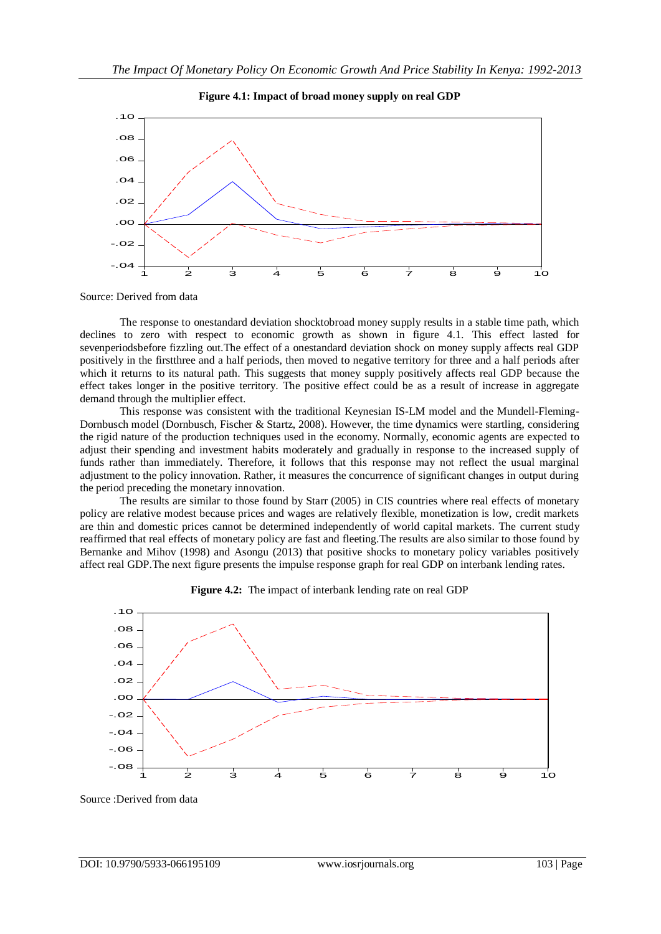

**Figure 4.1: Impact of broad money supply on real GDP**

Source: Derived from data

The response to onestandard deviation shocktobroad money supply results in a stable time path, which declines to zero with respect to economic growth as shown in figure 4.1. This effect lasted for sevenperiodsbefore fizzling out.The effect of a onestandard deviation shock on money supply affects real GDP positively in the firstthree and a half periods, then moved to negative territory for three and a half periods after which it returns to its natural path. This suggests that money supply positively affects real GDP because the effect takes longer in the positive territory. The positive effect could be as a result of increase in aggregate demand through the multiplier effect.

This response was consistent with the traditional Keynesian IS-LM model and the Mundell-Fleming-Dornbusch model (Dornbusch, Fischer & Startz, 2008). However, the time dynamics were startling, considering the rigid nature of the production techniques used in the economy. Normally, economic agents are expected to adjust their spending and investment habits moderately and gradually in response to the increased supply of funds rather than immediately. Therefore, it follows that this response may not reflect the usual marginal adjustment to the policy innovation. Rather, it measures the concurrence of significant changes in output during the period preceding the monetary innovation.

The results are similar to those found by Starr (2005) in CIS countries where real effects of monetary policy are relative modest because prices and wages are relatively flexible, monetization is low, credit markets are thin and domestic prices cannot be determined independently of world capital markets. The current study reaffirmed that real effects of monetary policy are fast and fleeting.The results are also similar to those found by Bernanke and Mihov (1998) and Asongu (2013) that positive shocks to monetary policy variables positively affect real GDP.The next figure presents the impulse response graph for real GDP on interbank lending rates.



**Figure 4.2:** The impact of interbank lending rate on real GDP

Source :Derived from data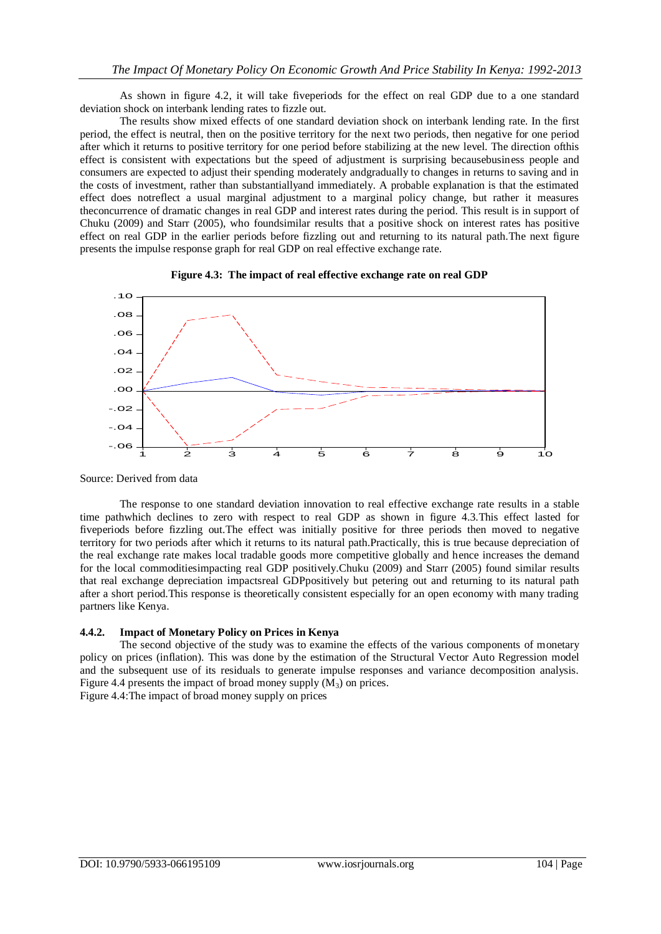As shown in figure 4.2, it will take fiveperiods for the effect on real GDP due to a one standard deviation shock on interbank lending rates to fizzle out.

The results show mixed effects of one standard deviation shock on interbank lending rate. In the first period, the effect is neutral, then on the positive territory for the next two periods, then negative for one period after which it returns to positive territory for one period before stabilizing at the new level. The direction ofthis effect is consistent with expectations but the speed of adjustment is surprising becausebusiness people and consumers are expected to adjust their spending moderately andgradually to changes in returns to saving and in the costs of investment, rather than substantiallyand immediately. A probable explanation is that the estimated effect does notreflect a usual marginal adjustment to a marginal policy change, but rather it measures theconcurrence of dramatic changes in real GDP and interest rates during the period. This result is in support of Chuku (2009) and Starr (2005), who foundsimilar results that a positive shock on interest rates has positive effect on real GDP in the earlier periods before fizzling out and returning to its natural path.The next figure presents the impulse response graph for real GDP on real effective exchange rate.





Source: Derived from data

The response to one standard deviation innovation to real effective exchange rate results in a stable time pathwhich declines to zero with respect to real GDP as shown in figure 4.3.This effect lasted for fiveperiods before fizzling out.The effect was initially positive for three periods then moved to negative territory for two periods after which it returns to its natural path.Practically, this is true because depreciation of the real exchange rate makes local tradable goods more competitive globally and hence increases the demand for the local commoditiesimpacting real GDP positively.Chuku (2009) and Starr (2005) found similar results that real exchange depreciation impactsreal GDPpositively but petering out and returning to its natural path after a short period.This response is theoretically consistent especially for an open economy with many trading partners like Kenya.

#### **4.4.2. Impact of Monetary Policy on Prices in Kenya**

The second objective of the study was to examine the effects of the various components of monetary policy on prices (inflation). This was done by the estimation of the Structural Vector Auto Regression model and the subsequent use of its residuals to generate impulse responses and variance decomposition analysis. Figure 4.4 presents the impact of broad money supply  $(M_3)$  on prices. Figure 4.4:The impact of broad money supply on prices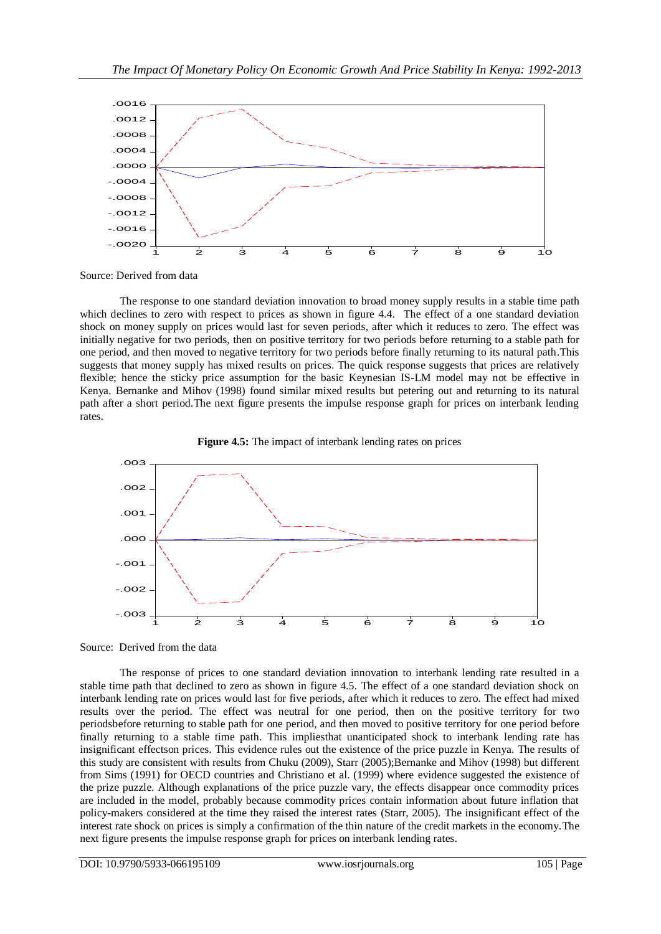

Source: Derived from data

The response to one standard deviation innovation to broad money supply results in a stable time path which declines to zero with respect to prices as shown in figure 4.4. The effect of a one standard deviation shock on money supply on prices would last for seven periods, after which it reduces to zero. The effect was initially negative for two periods, then on positive territory for two periods before returning to a stable path for one period, and then moved to negative territory for two periods before finally returning to its natural path.This suggests that money supply has mixed results on prices. The quick response suggests that prices are relatively flexible; hence the sticky price assumption for the basic Keynesian IS-LM model may not be effective in Kenya. Bernanke and Mihov (1998) found similar mixed results but petering out and returning to its natural path after a short period.The next figure presents the impulse response graph for prices on interbank lending rates.





Source: Derived from the data

The response of prices to one standard deviation innovation to interbank lending rate resulted in a stable time path that declined to zero as shown in figure 4.5. The effect of a one standard deviation shock on interbank lending rate on prices would last for five periods, after which it reduces to zero. The effect had mixed results over the period. The effect was neutral for one period, then on the positive territory for two periodsbefore returning to stable path for one period, and then moved to positive territory for one period before finally returning to a stable time path. This impliesthat unanticipated shock to interbank lending rate has insignificant effectson prices. This evidence rules out the existence of the price puzzle in Kenya. The results of this study are consistent with results from Chuku (2009), Starr (2005);Bernanke and Mihov (1998) but different from Sims (1991) for OECD countries and Christiano et al. (1999) where evidence suggested the existence of the prize puzzle. Although explanations of the price puzzle vary, the effects disappear once commodity prices are included in the model, probably because commodity prices contain information about future inflation that policy-makers considered at the time they raised the interest rates (Starr, 2005). The insignificant effect of the interest rate shock on prices is simply a confirmation of the thin nature of the credit markets in the economy.The next figure presents the impulse response graph for prices on interbank lending rates.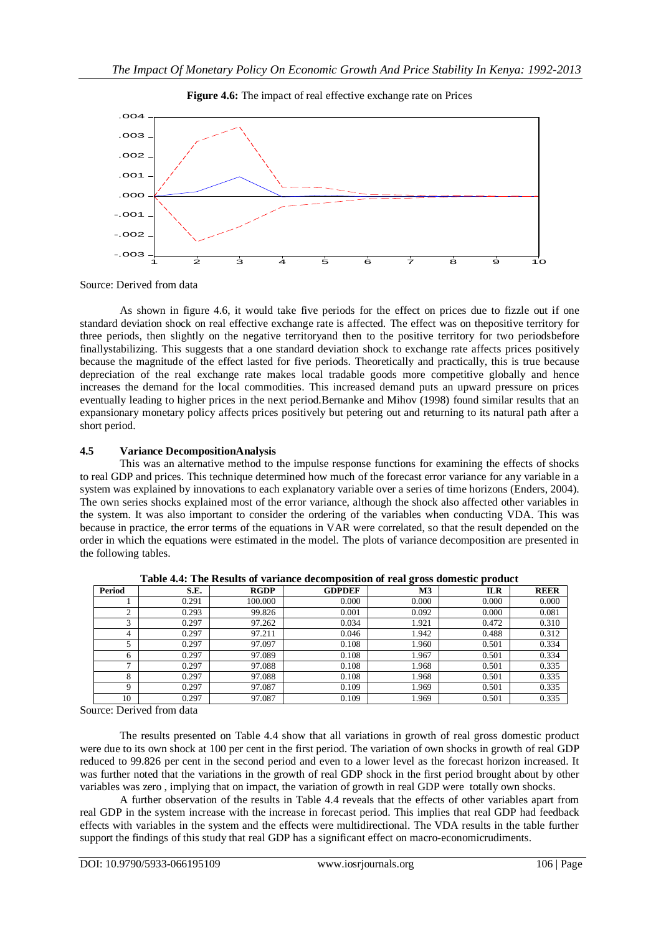

**Figure 4.6:** The impact of real effective exchange rate on Prices

Source: Derived from data

As shown in figure 4.6, it would take five periods for the effect on prices due to fizzle out if one standard deviation shock on real effective exchange rate is affected. The effect was on thepositive territory for three periods, then slightly on the negative territoryand then to the positive territory for two periodsbefore finallystabilizing. This suggests that a one standard deviation shock to exchange rate affects prices positively because the magnitude of the effect lasted for five periods. Theoretically and practically, this is true because depreciation of the real exchange rate makes local tradable goods more competitive globally and hence increases the demand for the local commodities. This increased demand puts an upward pressure on prices eventually leading to higher prices in the next period.Bernanke and Mihov (1998) found similar results that an expansionary monetary policy affects prices positively but petering out and returning to its natural path after a short period.

#### **4.5 Variance DecompositionAnalysis**

This was an alternative method to the impulse response functions for examining the effects of shocks to real GDP and prices. This technique determined how much of the forecast error variance for any variable in a system was explained by innovations to each explanatory variable over a series of time horizons (Enders, 2004). The own series shocks explained most of the error variance, although the shock also affected other variables in the system. It was also important to consider the ordering of the variables when conducting VDA. This was because in practice, the error terms of the equations in VAR were correlated, so that the result depended on the order in which the equations were estimated in the model. The plots of variance decomposition are presented in the following tables.

| Period       | S.E.  | <b>RGDP</b> | <b>GDPDEF</b> | M3    | <b>ILR</b> | <b>REER</b> |
|--------------|-------|-------------|---------------|-------|------------|-------------|
|              | 0.291 | 100.000     | 0.000         | 0.000 | 0.000      | 0.000       |
| ◠            | 0.293 | 99.826      | 0.001         | 0.092 | 0.000      | 0.081       |
| $\sim$       | 0.297 | 97.262      | 0.034         | 1.921 | 0.472      | 0.310       |
| 4            | 0.297 | 97.211      | 0.046         | 1.942 | 0.488      | 0.312       |
|              | 0.297 | 97.097      | 0.108         | 1.960 | 0.501      | 0.334       |
| 6            | 0.297 | 97.089      | 0.108         | 1.967 | 0.501      | 0.334       |
| $\mathbf{r}$ | 0.297 | 97.088      | 0.108         | 1.968 | 0.501      | 0.335       |
| 8            | 0.297 | 97.088      | 0.108         | 1.968 | 0.501      | 0.335       |
| Q            | 0.297 | 97.087      | 0.109         | 1.969 | 0.501      | 0.335       |
| 10           | 0.297 | 97.087      | 0.109         | 1.969 | 0.501      | 0.335       |

**Table 4.4: The Results of variance decomposition of real gross domestic product**

Source: Derived from data

The results presented on Table 4.4 show that all variations in growth of real gross domestic product were due to its own shock at 100 per cent in the first period. The variation of own shocks in growth of real GDP reduced to 99.826 per cent in the second period and even to a lower level as the forecast horizon increased. It was further noted that the variations in the growth of real GDP shock in the first period brought about by other variables was zero , implying that on impact, the variation of growth in real GDP were totally own shocks.

A further observation of the results in Table 4.4 reveals that the effects of other variables apart from real GDP in the system increase with the increase in forecast period. This implies that real GDP had feedback effects with variables in the system and the effects were multidirectional. The VDA results in the table further support the findings of this study that real GDP has a significant effect on macro-economicrudiments.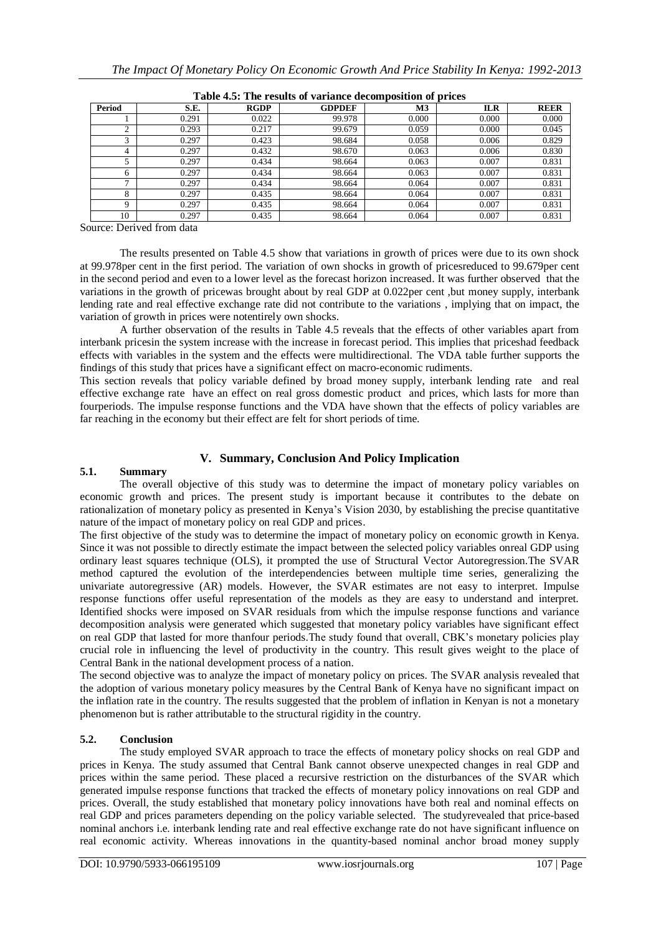| Tuble not the results of variance accomposition of prices |       |             |               |       |            |             |  |
|-----------------------------------------------------------|-------|-------------|---------------|-------|------------|-------------|--|
| Period                                                    | S.E.  | <b>RGDP</b> | <b>GDPDEF</b> | M3    | <b>ILR</b> | <b>REER</b> |  |
|                                                           | 0.291 | 0.022       | 99.978        | 0.000 | 0.000      | 0.000       |  |
| ◠                                                         | 0.293 | 0.217       | 99.679        | 0.059 | 0.000      | 0.045       |  |
| 3                                                         | 0.297 | 0.423       | 98.684        | 0.058 | 0.006      | 0.829       |  |
| 4                                                         | 0.297 | 0.432       | 98.670        | 0.063 | 0.006      | 0.830       |  |
|                                                           | 0.297 | 0.434       | 98.664        | 0.063 | 0.007      | 0.831       |  |
| 6                                                         | 0.297 | 0.434       | 98.664        | 0.063 | 0.007      | 0.831       |  |
| $\mathbf{r}$                                              | 0.297 | 0.434       | 98.664        | 0.064 | 0.007      | 0.831       |  |
| 8                                                         | 0.297 | 0.435       | 98.664        | 0.064 | 0.007      | 0.831       |  |
| Q                                                         | 0.297 | 0.435       | 98.664        | 0.064 | 0.007      | 0.831       |  |
| 10                                                        | 0.297 | 0.435       | 98.664        | 0.064 | 0.007      | 0.831       |  |

**Table 4.5: The results of variance decomposition of prices**

Source: Derived from data

The results presented on Table 4.5 show that variations in growth of prices were due to its own shock at 99.978per cent in the first period. The variation of own shocks in growth of pricesreduced to 99.679per cent in the second period and even to a lower level as the forecast horizon increased. It was further observed that the variations in the growth of pricewas brought about by real GDP at 0.022per cent ,but money supply, interbank lending rate and real effective exchange rate did not contribute to the variations, implying that on impact, the variation of growth in prices were notentirely own shocks.

A further observation of the results in Table 4.5 reveals that the effects of other variables apart from interbank pricesin the system increase with the increase in forecast period. This implies that priceshad feedback effects with variables in the system and the effects were multidirectional. The VDA table further supports the findings of this study that prices have a significant effect on macro-economic rudiments.

This section reveals that policy variable defined by broad money supply, interbank lending rate and real effective exchange rate have an effect on real gross domestic product and prices, which lasts for more than fourperiods. The impulse response functions and the VDA have shown that the effects of policy variables are far reaching in the economy but their effect are felt for short periods of time.

## **V. Summary, Conclusion And Policy Implication**

## **5.1. Summary**

The overall objective of this study was to determine the impact of monetary policy variables on economic growth and prices. The present study is important because it contributes to the debate on rationalization of monetary policy as presented in Kenya's Vision 2030, by establishing the precise quantitative nature of the impact of monetary policy on real GDP and prices.

The first objective of the study was to determine the impact of monetary policy on economic growth in Kenya. Since it was not possible to directly estimate the impact between the selected policy variables onreal GDP using ordinary least squares technique (OLS), it prompted the use of Structural Vector Autoregression.The SVAR method captured the evolution of the interdependencies between multiple time series, generalizing the univariate autoregressive (AR) models. However, the SVAR estimates are not easy to interpret. Impulse response functions offer useful representation of the models as they are easy to understand and interpret. Identified shocks were imposed on SVAR residuals from which the impulse response functions and variance decomposition analysis were generated which suggested that monetary policy variables have significant effect on real GDP that lasted for more thanfour periods.The study found that overall, CBK"s monetary policies play crucial role in influencing the level of productivity in the country. This result gives weight to the place of Central Bank in the national development process of a nation.

The second objective was to analyze the impact of monetary policy on prices. The SVAR analysis revealed that the adoption of various monetary policy measures by the Central Bank of Kenya have no significant impact on the inflation rate in the country. The results suggested that the problem of inflation in Kenyan is not a monetary phenomenon but is rather attributable to the structural rigidity in the country.

## **5.2. Conclusion**

The study employed SVAR approach to trace the effects of monetary policy shocks on real GDP and prices in Kenya. The study assumed that Central Bank cannot observe unexpected changes in real GDP and prices within the same period. These placed a recursive restriction on the disturbances of the SVAR which generated impulse response functions that tracked the effects of monetary policy innovations on real GDP and prices. Overall, the study established that monetary policy innovations have both real and nominal effects on real GDP and prices parameters depending on the policy variable selected. The studyrevealed that price-based nominal anchors i.e. interbank lending rate and real effective exchange rate do not have significant influence on real economic activity. Whereas innovations in the quantity-based nominal anchor broad money supply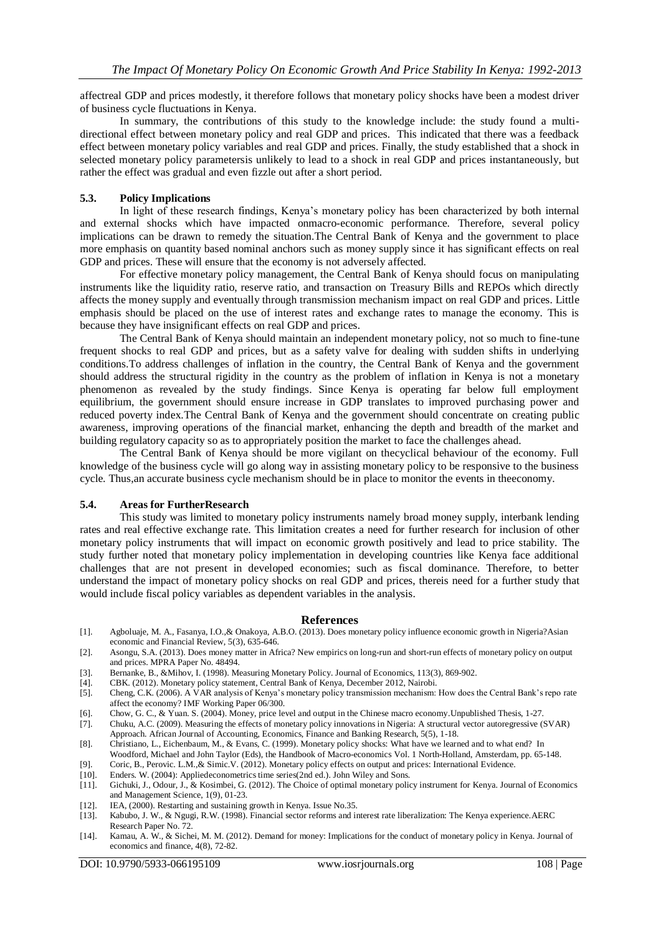affectreal GDP and prices modestly, it therefore follows that monetary policy shocks have been a modest driver of business cycle fluctuations in Kenya.

In summary, the contributions of this study to the knowledge include: the study found a multidirectional effect between monetary policy and real GDP and prices. This indicated that there was a feedback effect between monetary policy variables and real GDP and prices. Finally, the study established that a shock in selected monetary policy parametersis unlikely to lead to a shock in real GDP and prices instantaneously, but rather the effect was gradual and even fizzle out after a short period.

#### **5.3. Policy Implications**

In light of these research findings, Kenya"s monetary policy has been characterized by both internal and external shocks which have impacted onmacro-economic performance. Therefore, several policy implications can be drawn to remedy the situation.The Central Bank of Kenya and the government to place more emphasis on quantity based nominal anchors such as money supply since it has significant effects on real GDP and prices. These will ensure that the economy is not adversely affected.

For effective monetary policy management, the Central Bank of Kenya should focus on manipulating instruments like the liquidity ratio, reserve ratio, and transaction on Treasury Bills and REPOs which directly affects the money supply and eventually through transmission mechanism impact on real GDP and prices. Little emphasis should be placed on the use of interest rates and exchange rates to manage the economy. This is because they have insignificant effects on real GDP and prices.

The Central Bank of Kenya should maintain an independent monetary policy, not so much to fine-tune frequent shocks to real GDP and prices, but as a safety valve for dealing with sudden shifts in underlying conditions.To address challenges of inflation in the country, the Central Bank of Kenya and the government should address the structural rigidity in the country as the problem of inflation in Kenya is not a monetary phenomenon as revealed by the study findings. Since Kenya is operating far below full employment equilibrium, the government should ensure increase in GDP translates to improved purchasing power and reduced poverty index.The Central Bank of Kenya and the government should concentrate on creating public awareness, improving operations of the financial market, enhancing the depth and breadth of the market and building regulatory capacity so as to appropriately position the market to face the challenges ahead.

The Central Bank of Kenya should be more vigilant on thecyclical behaviour of the economy. Full knowledge of the business cycle will go along way in assisting monetary policy to be responsive to the business cycle. Thus,an accurate business cycle mechanism should be in place to monitor the events in theeconomy.

#### **5.4. Areas for FurtherResearch**

This study was limited to monetary policy instruments namely broad money supply, interbank lending rates and real effective exchange rate. This limitation creates a need for further research for inclusion of other monetary policy instruments that will impact on economic growth positively and lead to price stability. The study further noted that monetary policy implementation in developing countries like Kenya face additional challenges that are not present in developed economies; such as fiscal dominance. Therefore, to better understand the impact of monetary policy shocks on real GDP and prices, thereis need for a further study that would include fiscal policy variables as dependent variables in the analysis.

#### **References**

- [1]. Agboluaje, M. A., Fasanya, I.O.,& Onakoya, A.B.O. (2013). Does monetary policy influence economic growth in Nigeria?Asian economic and Financial Review, 5(3), 635-646.
- [2]. Asongu, S.A. (2013). Does money matter in Africa? New empirics on long-run and short-run effects of monetary policy on output and prices. MPRA Paper No. 48494.
- [3]. Bernanke, B., &Mihov, I. (1998). Measuring Monetary Policy. Journal of Economics, 113(3), 869-902.
- [4]. CBK. (2012). Monetary policy statement, Central Bank of Kenya, December 2012, Nairobi.
- [5]. Cheng, C.K. (2006). A VAR analysis of Kenya"s monetary policy transmission mechanism: How does the Central Bank"s repo rate affect the economy? IMF Working Paper 06/300.
- [6]. Chow, G. C., & Yuan. S. (2004). Money, price level and output in the Chinese macro economy.Unpublished Thesis, 1-27.
- [7]. Chuku, A.C. (2009). Measuring the effects of monetary policy innovations in Nigeria: A structural vector autoregressive (SVAR) Approach. African Journal of Accounting, Economics, Finance and Banking Research, 5(5), 1-18.
- [8]. Christiano, L., Eichenbaum, M., & Evans, C. (1999). Monetary policy shocks: What have we learned and to what end? In Woodford, Michael and John Taylor (Eds), the Handbook of Macro-economics Vol. 1 North-Holland, Amsterdam, pp. 65-148.
- [9]. Coric, B., Perovic. L.M.,& Simic.V. (2012). Monetary policy effects on output and prices: International Evidence.
- [10]. Enders. W. (2004): Appliedeconometrics time series(2nd ed.). John Wiley and Sons.
- [11]. Gichuki, J., Odour, J., & Kosimbei, G. (2012). The Choice of optimal monetary policy instrument for Kenya. Journal of Economics and Management Science, 1(9), 01-23.
- [12]. IEA, (2000). Restarting and sustaining growth in Kenya. Issue No.35.
- [13]. Kabubo, J. W., & Ngugi, R.W. (1998). Financial sector reforms and interest rate liberalization: The Kenya experience.AERC Research Paper No. 72.
- [14]. Kamau, A. W., & Sichei, M. M. (2012). Demand for money: Implications for the conduct of monetary policy in Kenya. Journal of economics and finance, 4(8), 72-82.